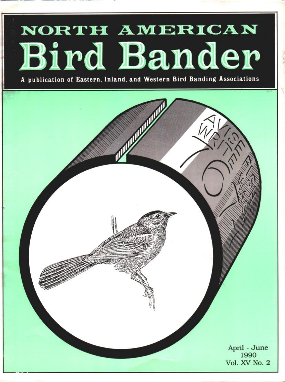# NORTH AMERICAN Bird Bander

**A publication of Eastern, Inland, and Western Bird Banding Associations**